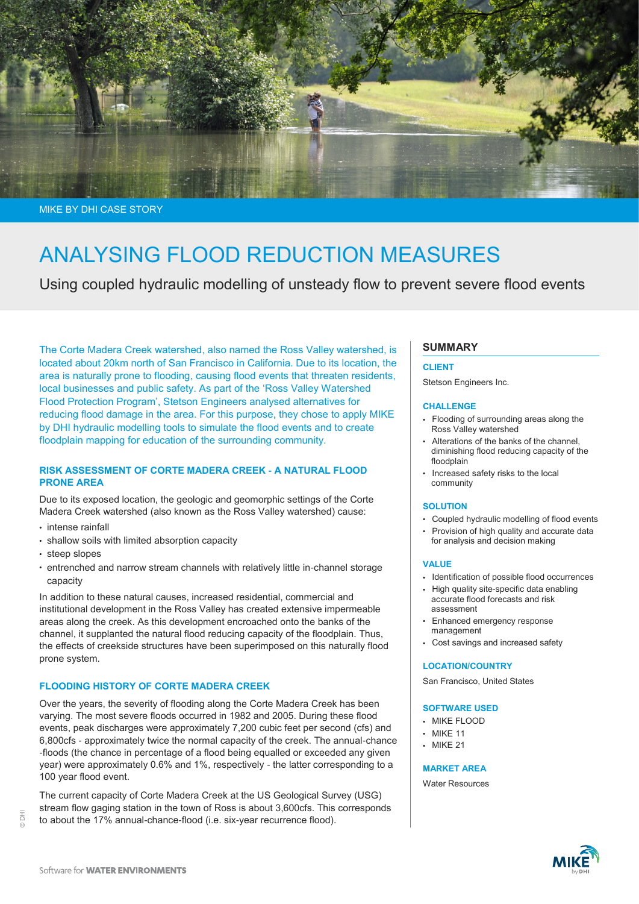

MIKE BY DHI CASE STORY

# ANALYSING FLOOD REDUCTION MEASURES

Using coupled hydraulic modelling of unsteady flow to prevent severe flood events

The Corte Madera Creek watershed, also named the Ross Valley watershed, is located about 20km north of San Francisco in California. Due to its location, the area is naturally prone to flooding, causing flood events that threaten residents, local businesses and public safety. As part of the 'Ross Valley Watershed Flood Protection Program', Stetson Engineers analysed alternatives for reducing flood damage in the area. For this purpose, they chose to apply MIKE by DHI hydraulic modelling tools to simulate the flood events and to create floodplain mapping for education of the surrounding community.

## **RISK ASSESSMENT OF CORTE MADERA CREEK - A NATURAL FLOOD PRONE AREA**

Due to its exposed location, the geologic and geomorphic settings of the Corte Madera Creek watershed (also known as the Ross Valley watershed) cause:

- intense rainfall
- shallow soils with limited absorption capacity
- steep slopes

© DHI

 entrenched and narrow stream channels with relatively little in-channel storage capacity

In addition to these natural causes, increased residential, commercial and institutional development in the Ross Valley has created extensive impermeable areas along the creek. As this development encroached onto the banks of the channel, it supplanted the natural flood reducing capacity of the floodplain. Thus, the effects of creekside structures have been superimposed on this naturally flood prone system.

#### **FLOODING HISTORY OF CORTE MADERA CREEK**

Over the years, the severity of flooding along the Corte Madera Creek has been varying. The most severe floods occurred in 1982 and 2005. During these flood events, peak discharges were approximately 7,200 cubic feet per second (cfs) and 6,800cfs - approximately twice the normal capacity of the creek. The annual-chance -floods (the chance in percentage of a flood being equalled or exceeded any given year) were approximately 0.6% and 1%, respectively - the latter corresponding to a 100 year flood event.

The current capacity of Corte Madera Creek at the US Geological Survey (USG) stream flow gaging station in the town of Ross is about 3,600cfs. This corresponds to about the 17% annual-chance-flood (i.e. six-year recurrence flood).

## **SUMMARY**

#### **CLIENT**

Stetson Engineers Inc.

#### **CHALLENGE**

- Flooding of surrounding areas along the Ross Valley watershed
- Alterations of the banks of the channel, diminishing flood reducing capacity of the floodplain
- Increased safety risks to the local community

#### **SOLUTION**

- Coupled hydraulic modelling of flood events
- Provision of high quality and accurate data for analysis and decision making

#### **VALUE**

- Identification of possible flood occurrences
- High quality site-specific data enabling accurate flood forecasts and risk assessment
- Enhanced emergency response management
- Cost savings and increased safety

#### **LOCATION/COUNTRY**

San Francisco, United States

#### **SOFTWARE USED**

- MIKE FLOOD
- MIKE 11
- MIKF 21

**MARKET AREA**

Water Resources